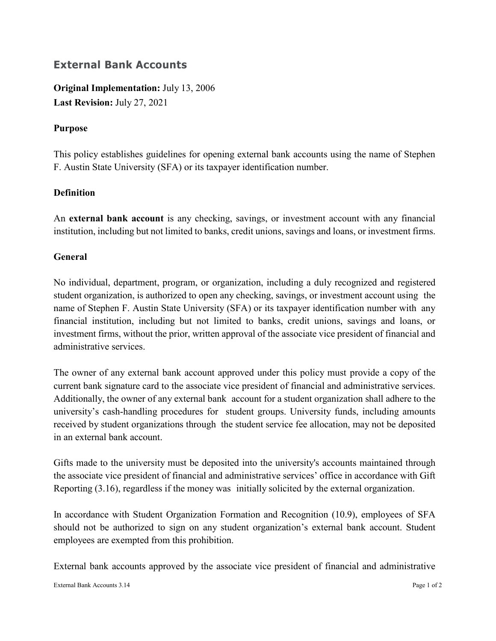## **External Bank Accounts**

**Original Implementation:** July 13, 2006 **Last Revision:** July 27, 2021

## **Purpose**

This policy establishes guidelines for opening external bank accounts using the name of Stephen F. Austin State University (SFA) or its taxpayer identification number.

## **Definition**

An **external bank account** is any checking, savings, or investment account with any financial institution, including but not limited to banks, credit unions, savings and loans, or investment firms.

## **General**

No individual, department, program, or organization, including a duly recognized and registered student organization, is authorized to open any checking, savings, or investment account using the name of Stephen F. Austin State University (SFA) or its taxpayer identification number with any financial institution, including but not limited to banks, credit unions, savings and loans, or investment firms, without the prior, written approval of the associate vice president of financial and administrative services.

The owner of any external bank account approved under this policy must provide a copy of the current bank signature card to the associate vice president of financial and administrative services. Additionally, the owner of any external bank account for a student organization shall adhere to the university's cash-handling procedures for student groups. University funds, including amounts received by student organizations through the student service fee allocation, may not be deposited in an external bank account.

Gifts made to the university must be deposited into the university's accounts maintained through the associate vice president of financial and administrative services' office in accordance with Gift Reporting (3.16), regardless if the money was initially solicited by the external organization.

In accordance with Student Organization Formation and Recognition (10.9), employees of SFA should not be authorized to sign on any student organization's external bank account. Student employees are exempted from this prohibition.

External bank accounts approved by the associate vice president of financial and administrative